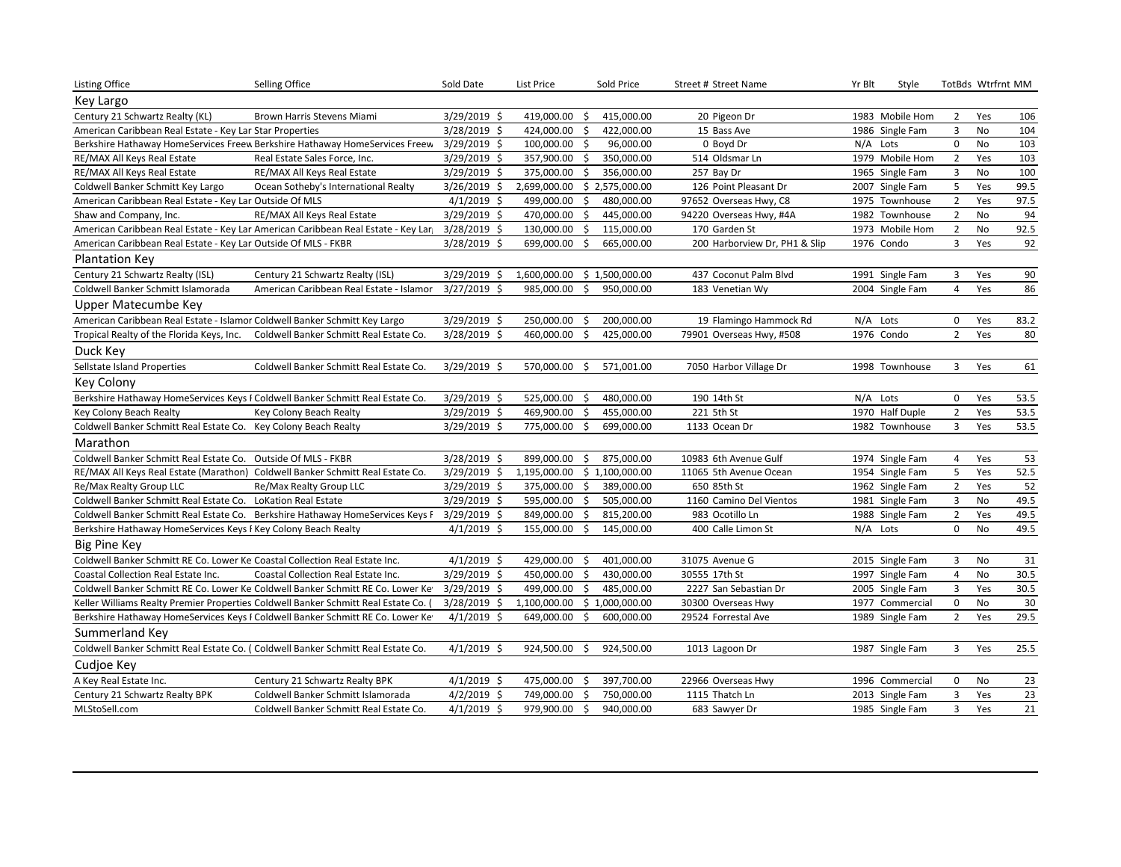| <b>Listing Office</b>                                                            | Selling Office                                                                      | Sold Date      | List Price                   |         | Sold Price     | Street # Street Name          | Yr Blt   | Style           |                     | TotBds Wtrfrnt MM |      |
|----------------------------------------------------------------------------------|-------------------------------------------------------------------------------------|----------------|------------------------------|---------|----------------|-------------------------------|----------|-----------------|---------------------|-------------------|------|
| Key Largo                                                                        |                                                                                     |                |                              |         |                |                               |          |                 |                     |                   |      |
| Century 21 Schwartz Realty (KL)                                                  | Brown Harris Stevens Miami                                                          | 3/29/2019 \$   | 419,000.00                   | \$      | 415,000.00     | 20 Pigeon Dr                  |          | 1983 Mobile Hom | 2                   | Yes               | 106  |
| American Caribbean Real Estate - Key Lar Star Properties                         |                                                                                     | 3/28/2019 \$   | 424,000.00                   | \$      | 422,000.00     | 15 Bass Ave                   |          | 1986 Single Fam | 3                   | No                | 104  |
|                                                                                  | Berkshire Hathaway HomeServices Freew Berkshire Hathaway HomeServices Freew         | 3/29/2019 \$   | 100,000.00                   | Ŝ.      | 96,000.00      | 0 Boyd Dr                     | N/A Lots |                 | $\mathbf 0$         | No                | 103  |
| RE/MAX All Keys Real Estate                                                      | Real Estate Sales Force, Inc.                                                       | 3/29/2019 \$   | 357,900.00                   | \$      | 350,000.00     | 514 Oldsmar Ln                |          | 1979 Mobile Hom | $\overline{2}$      | Yes               | 103  |
| RE/MAX All Keys Real Estate                                                      | RE/MAX All Keys Real Estate                                                         | 3/29/2019 \$   | 375,000.00                   | \$      | 356,000.00     | 257 Bay Dr                    |          | 1965 Single Fam | $\mathbf{3}$        | No                | 100  |
| Coldwell Banker Schmitt Key Largo                                                | Ocean Sotheby's International Realty                                                | 3/26/2019 \$   | 2,699,000.00                 |         | \$2,575,000.00 | 126 Point Pleasant Dr         |          | 2007 Single Fam | 5                   | Yes               | 99.5 |
| American Caribbean Real Estate - Key Lar Outside Of MLS                          |                                                                                     | $4/1/2019$ \$  | 499,000.00                   | Ŝ.      | 480,000.00     | 97652 Overseas Hwy, C8        |          | 1975 Townhouse  | $\overline{2}$      | Yes               | 97.5 |
| Shaw and Company, Inc.                                                           | RE/MAX All Keys Real Estate                                                         | 3/29/2019 \$   | 470,000.00 \$                |         | 445,000.00     | 94220 Overseas Hwy, #4A       |          | 1982 Townhouse  | $\overline{2}$      | No                | 94   |
|                                                                                  | American Caribbean Real Estate - Key Lar American Caribbean Real Estate - Key Lar   | 3/28/2019 \$   | 130,000.00                   | $\zeta$ | 115,000.00     | 170 Garden St                 |          | 1973 Mobile Hom | $\overline{2}$      | <b>No</b>         | 92.5 |
| American Caribbean Real Estate - Key Lar Outside Of MLS - FKBR                   |                                                                                     | 3/28/2019 \$   | 699,000.00                   | \$      | 665,000.00     | 200 Harborview Dr, PH1 & Slip |          | 1976 Condo      | 3                   | Yes               | 92   |
| Plantation Key                                                                   |                                                                                     |                |                              |         |                |                               |          |                 |                     |                   |      |
| Century 21 Schwartz Realty (ISL)                                                 | Century 21 Schwartz Realty (ISL)                                                    | $3/29/2019$ \$ | 1,600,000.00 \$ 1,500,000.00 |         |                | 437 Coconut Palm Blvd         |          | 1991 Single Fam | 3                   | Yes               | 90   |
| Coldwell Banker Schmitt Islamorada                                               | American Caribbean Real Estate - Islamor                                            | $3/27/2019$ \$ | 985,000.00                   | \$      | 950,000.00     | 183 Venetian Wy               |          | 2004 Single Fam | $\overline{4}$      | Yes               | 86   |
| Upper Matecumbe Key                                                              |                                                                                     |                |                              |         |                |                               |          |                 |                     |                   |      |
| American Caribbean Real Estate - Islamor Coldwell Banker Schmitt Key Largo       |                                                                                     | 3/29/2019 \$   | 250,000.00                   | \$      | 200,000.00     | 19 Flamingo Hammock Rd        |          | N/A Lots        | $\mathbf 0$         | Yes               | 83.2 |
| Tropical Realty of the Florida Keys, Inc.                                        | Coldwell Banker Schmitt Real Estate Co.                                             | 3/28/2019 \$   | 460,000.00                   | -\$     | 425,000.00     | 79901 Overseas Hwy, #508      |          | 1976 Condo      | $\overline{2}$      | Yes               | 80   |
| Duck Key                                                                         |                                                                                     |                |                              |         |                |                               |          |                 |                     |                   |      |
| Sellstate Island Properties                                                      | Coldwell Banker Schmitt Real Estate Co.                                             | $3/29/2019$ \$ | 570,000.00                   | S.      | 571,001.00     | 7050 Harbor Village Dr        |          | 1998 Townhouse  | 3                   | Yes               | 61   |
| Key Colony                                                                       |                                                                                     |                |                              |         |                |                               |          |                 |                     |                   |      |
| Berkshire Hathaway HomeServices Keys I Coldwell Banker Schmitt Real Estate Co.   |                                                                                     | $3/29/2019$ \$ | 525,000.00                   | -\$     | 480,000.00     | 190 14th St                   |          | N/A Lots        | $\mathbf 0$         | Yes               | 53.5 |
| Key Colony Beach Realty                                                          | Key Colony Beach Realty                                                             | 3/29/2019 \$   | 469,900.00                   | \$      | 455,000.00     | 221 5th St                    |          | 1970 Half Duple | $\overline{2}$      | Yes               | 53.5 |
| Coldwell Banker Schmitt Real Estate Co. Key Colony Beach Realty                  |                                                                                     | $3/29/2019$ \$ | 775,000.00                   | \$      | 699,000.00     | 1133 Ocean Dr                 |          | 1982 Townhouse  | 3                   | Yes               | 53.5 |
| Marathon                                                                         |                                                                                     |                |                              |         |                |                               |          |                 |                     |                   |      |
| Coldwell Banker Schmitt Real Estate Co. Outside Of MLS - FKBR                    |                                                                                     | 3/28/2019 \$   | 899,000.00                   | \$      | 875,000.00     | 10983 6th Avenue Gulf         |          | 1974 Single Fam | 4                   | Yes               | 53   |
| RE/MAX All Keys Real Estate (Marathon) Coldwell Banker Schmitt Real Estate Co.   |                                                                                     | $3/29/2019$ \$ | 1,195,000.00 \$ 1,100,000.00 |         |                | 11065 5th Avenue Ocean        |          | 1954 Single Fam | 5                   | Yes               | 52.5 |
| Re/Max Realty Group LLC                                                          | Re/Max Realty Group LLC                                                             | $3/29/2019$ \$ | 375,000.00                   | \$      | 389,000.00     | 650 85th St                   |          | 1962 Single Fam | $\overline{2}$      | Yes               | 52   |
| Coldwell Banker Schmitt Real Estate Co. LoKation Real Estate                     |                                                                                     | 3/29/2019 \$   | 595,000.00                   | \$      | 505,000.00     | 1160 Camino Del Vientos       |          | 1981 Single Fam | $\overline{3}$      | No                | 49.5 |
|                                                                                  | Coldwell Banker Schmitt Real Estate Co. Berkshire Hathaway HomeServices Keys F      | $3/29/2019$ \$ | 849,000.00                   | \$      | 815,200.00     | 983 Ocotillo Ln               |          | 1988 Single Fam | $\overline{2}$      | Yes               | 49.5 |
| Berkshire Hathaway HomeServices Keys F Key Colony Beach Realty                   |                                                                                     | $4/1/2019$ \$  | 155,000.00                   | \$      | 145,000.00     | 400 Calle Limon St            | N/A Lots |                 | $\mathbf 0$         | No                | 49.5 |
| <b>Big Pine Key</b>                                                              |                                                                                     |                |                              |         |                |                               |          |                 |                     |                   |      |
| Coldwell Banker Schmitt RE Co. Lower Ke Coastal Collection Real Estate Inc.      |                                                                                     | $4/1/2019$ \$  | 429,000.00                   | \$      | 401,000.00     | 31075 Avenue G                |          | 2015 Single Fam | 3                   | No                | 31   |
| Coastal Collection Real Estate Inc.                                              | Coastal Collection Real Estate Inc.                                                 | 3/29/2019 \$   | 450,000.00                   | \$      | 430,000.00     | 30555 17th St                 |          | 1997 Single Fam | 4                   | No                | 30.5 |
|                                                                                  | Coldwell Banker Schmitt RE Co. Lower Ke Coldwell Banker Schmitt RE Co. Lower Ke     | $3/29/2019$ \$ | 499,000.00                   | \$      | 485,000.00     | 2227 San Sebastian Dr         |          | 2005 Single Fam | 3                   | Yes               | 30.5 |
|                                                                                  | Keller Williams Realty Premier Properties Coldwell Banker Schmitt Real Estate Co. ( | $3/28/2019$ \$ | 1,100,000.00                 |         | \$1,000,000.00 | 30300 Overseas Hwy            |          | 1977 Commercial | $\mathsf{O}\xspace$ | No                | 30   |
|                                                                                  | Berkshire Hathaway HomeServices Keys F Coldwell Banker Schmitt RE Co. Lower Ke      | $4/1/2019$ \$  | 649,000.00                   | \$      | 600,000.00     | 29524 Forrestal Ave           |          | 1989 Single Fam | $\overline{2}$      | Yes               | 29.5 |
| Summerland Key                                                                   |                                                                                     |                |                              |         |                |                               |          |                 |                     |                   |      |
| Coldwell Banker Schmitt Real Estate Co. (Coldwell Banker Schmitt Real Estate Co. |                                                                                     | $4/1/2019$ \$  | 924,500.00                   | -\$     | 924,500.00     | 1013 Lagoon Dr                |          | 1987 Single Fam | 3                   | Yes               | 25.5 |
| Cudjoe Key                                                                       |                                                                                     |                |                              |         |                |                               |          |                 |                     |                   |      |
| A Key Real Estate Inc.                                                           | Century 21 Schwartz Realty BPK                                                      | $4/1/2019$ \$  | 475,000.00                   | \$      | 397,700.00     | 22966 Overseas Hwy            |          | 1996 Commercial | 0                   | No                | 23   |
| Century 21 Schwartz Realty BPK                                                   | Coldwell Banker Schmitt Islamorada                                                  | $4/2/2019$ \$  | 749,000.00 \$                |         | 750,000.00     | 1115 Thatch Ln                |          | 2013 Single Fam | 3                   | Yes               | 23   |
| MLStoSell.com                                                                    | Coldwell Banker Schmitt Real Estate Co.                                             | $4/1/2019$ \$  | 979,900.00                   | \$      | 940,000.00     | 683 Sawyer Dr                 |          | 1985 Single Fam | $\overline{3}$      | Yes               | 21   |